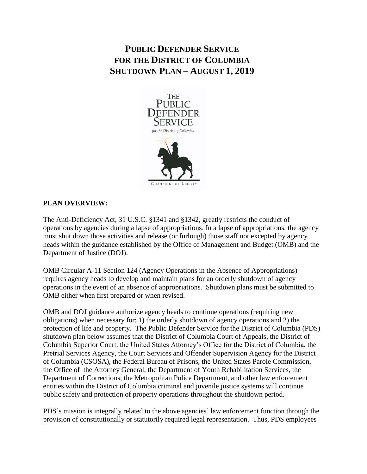# **PUBLIC DEFENDER SERVICE FOR THE DISTRICT OF COLUMBIA SHUTDOWN PLAN – AUGUST 1, 2019**



## **PLAN OVERVIEW:**

The Anti-Deficiency Act, 31 U.S.C. §1341 and §1342, greatly restricts the conduct of operations by agencies during a lapse of appropriations. In a lapse of appropriations, the agency must shut down those activities and release (or furlough) those staff not excepted by agency heads within the guidance established by the Office of Management and Budget (OMB) and the Department of Justice (DOJ).

OMB Circular A-11 Section 124 (Agency Operations in the Absence of Appropriations) requires agency heads to develop and maintain plans for an orderly shutdown of agency operations in the event of an absence of appropriations. Shutdown plans must be submitted to OMB either when first prepared or when revised.

OMB and DOJ guidance authorize agency heads to continue operations (requiring new obligations) when necessary for: 1) the orderly shutdown of agency operations and 2) the protection of life and property. The Public Defender Service for the District of Columbia (PDS) shutdown plan below assumes that the District of Columbia Court of Appeals, the District of Columbia Superior Court, the United States Attorney's Office for the District of Columbia, the Pretrial Services Agency, the Court Services and Offender Supervision Agency for the District of Columbia (CSOSA), the Federal Bureau of Prisons, the United States Parole Commission, the Office of the Attorney General, the Department of Youth Rehabilitation Services, the Department of Corrections, the Metropolitan Police Department, and other law enforcement entities within the District of Columbia criminal and juvenile justice systems will continue public safety and protection of property operations throughout the shutdown period.

PDS's mission is integrally related to the above agencies' law enforcement function through the provision of constitutionally or statutorily required legal representation. Thus, PDS employees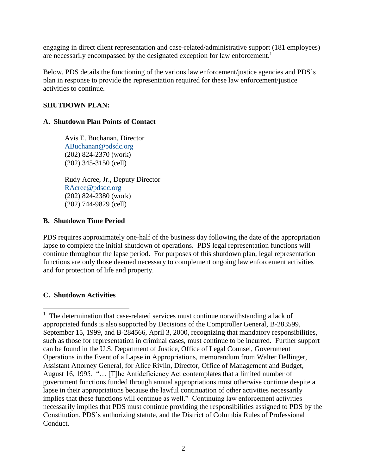engaging in direct client representation and case-related/administrative support (181 employees) are necessarily encompassed by the designated exception for law enforcement.<sup>1</sup>

Below, PDS details the functioning of the various law enforcement/justice agencies and PDS's plan in response to provide the representation required for these law enforcement/justice activities to continue.

## **SHUTDOWN PLAN:**

## **A. Shutdown Plan Points of Contact**

Avis E. Buchanan, Director [ABuchanan@pdsdc.org](mailto:ABuchanan@pdsdc.org) (202) 824-2370 (work) (202) 345-3150 (cell)

Rudy Acree, Jr., Deputy Director [RAcree@pdsdc.org](mailto:RAcree@pdsdc.org) (202) 824-2380 (work) (202) 744-9829 (cell)

## **B. Shutdown Time Period**

PDS requires approximately one-half of the business day following the date of the appropriation lapse to complete the initial shutdown of operations. PDS legal representation functions will continue throughout the lapse period. For purposes of this shutdown plan, legal representation functions are only those deemed necessary to complement ongoing law enforcement activities and for protection of life and property.

## **C. Shutdown Activities**

 $\overline{a}$ 

<sup>&</sup>lt;sup>1</sup> The determination that case-related services must continue notwithstanding a lack of appropriated funds is also supported by Decisions of the Comptroller General, B-283599, September 15, 1999, and B-284566, April 3, 2000, recognizing that mandatory responsibilities, such as those for representation in criminal cases, must continue to be incurred. Further support can be found in the U.S. Department of Justice, Office of Legal Counsel, Government Operations in the Event of a Lapse in Appropriations, memorandum from Walter Dellinger, Assistant Attorney General, for Alice Rivlin, Director, Office of Management and Budget, August 16, 1995. "… [T]he Antideficiency Act contemplates that a limited number of government functions funded through annual appropriations must otherwise continue despite a lapse in their appropriations because the lawful continuation of other activities necessarily implies that these functions will continue as well." Continuing law enforcement activities necessarily implies that PDS must continue providing the responsibilities assigned to PDS by the Constitution, PDS's authorizing statute, and the District of Columbia Rules of Professional Conduct.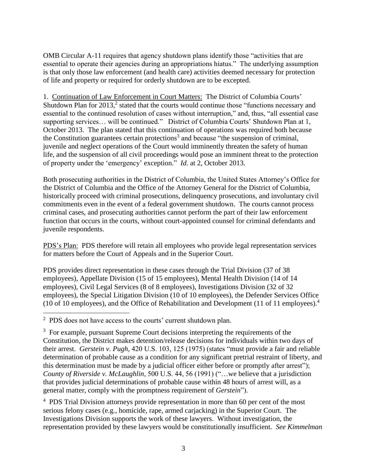OMB Circular A-11 requires that agency shutdown plans identify those "activities that are essential to operate their agencies during an appropriations hiatus." The underlying assumption is that only those law enforcement (and health care) activities deemed necessary for protection of life and property or required for orderly shutdown are to be excepted.

1. Continuation of Law Enforcement in Court Matters: The District of Columbia Courts' Shutdown Plan for 2013,<sup>2</sup> stated that the courts would continue those "functions necessary and essential to the continued resolution of cases without interruption," and, thus, "all essential case supporting services… will be continued." District of Columbia Courts' Shutdown Plan at 1, October 2013. The plan stated that this continuation of operations was required both because the Constitution guarantees certain protections<sup>3</sup> and because "the suspension of criminal, juvenile and neglect operations of the Court would imminently threaten the safety of human life, and the suspension of all civil proceedings would pose an imminent threat to the protection of property under the 'emergency' exception." *Id*. at 2, October 2013.

Both prosecuting authorities in the District of Columbia, the United States Attorney's Office for the District of Columbia and the Office of the Attorney General for the District of Columbia, historically proceed with criminal prosecutions, delinquency prosecutions, and involuntary civil commitments even in the event of a federal government shutdown. The courts cannot process criminal cases, and prosecuting authorities cannot perform the part of their law enforcement function that occurs in the courts, without court-appointed counsel for criminal defendants and juvenile respondents.

PDS's Plan: PDS therefore will retain all employees who provide legal representation services for matters before the Court of Appeals and in the Superior Court.

PDS provides direct representation in these cases through the Trial Division (37 of 38 employees), Appellate Division (15 of 15 employees), Mental Health Division (14 of 14 employees), Civil Legal Services (8 of 8 employees), Investigations Division (32 of 32 employees), the Special Litigation Division (10 of 10 employees), the Defender Services Office (10 of 10 employees), and the Office of Rehabilitation and Development (11 of 11 employees). 4

 $\overline{a}$ 

<sup>4</sup> PDS Trial Division attorneys provide representation in more than 60 per cent of the most serious felony cases (e.g., homicide, rape, armed carjacking) in the Superior Court. The Investigations Division supports the work of these lawyers. Without investigation, the representation provided by these lawyers would be constitutionally insufficient. *See Kimmelman* 

<sup>&</sup>lt;sup>2</sup> PDS does not have access to the courts' current shutdown plan.

<sup>&</sup>lt;sup>3</sup> For example, pursuant Supreme Court decisions interpreting the requirements of the Constitution, the District makes detention/release decisions for individuals within two days of their arrest. *Gerstein v. Pugh,* 420 U.S. 103, 125 (1975) (states "must provide a fair and reliable determination of probable cause as a condition for any significant pretrial restraint of liberty, and this determination must be made by a judicial officer either before or promptly after arrest"); *County of Riverside v. McLaughlin*, 500 U.S. 44, 56 (1991) ("…we believe that a jurisdiction that provides judicial determinations of probable cause within 48 hours of arrest will, as a general matter, comply with the promptness requirement of *Gerstein*").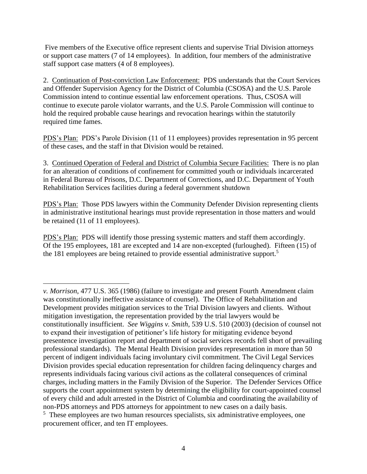Five members of the Executive office represent clients and supervise Trial Division attorneys or support case matters (7 of 14 employees). In addition, four members of the administrative staff support case matters (4 of 8 employees).

2. Continuation of Post-conviction Law Enforcement: PDS understands that the Court Services and Offender Supervision Agency for the District of Columbia (CSOSA) and the U.S. Parole Commission intend to continue essential law enforcement operations. Thus, CSOSA will continue to execute parole violator warrants, and the U.S. Parole Commission will continue to hold the required probable cause hearings and revocation hearings within the statutorily required time fames.

PDS's Plan: PDS's Parole Division (11 of 11 employees) provides representation in 95 percent of these cases, and the staff in that Division would be retained.

3. Continued Operation of Federal and District of Columbia Secure Facilities: There is no plan for an alteration of conditions of confinement for committed youth or individuals incarcerated in Federal Bureau of Prisons, D.C. Department of Corrections, and D.C. Department of Youth Rehabilitation Services facilities during a federal government shutdown

PDS's Plan: Those PDS lawyers within the Community Defender Division representing clients in administrative institutional hearings must provide representation in those matters and would be retained (11 of 11 employees).

PDS's Plan: PDS will identify those pressing systemic matters and staff them accordingly. Of the 195 employees, 181 are excepted and 14 are non-excepted (furloughed). Fifteen (15) of the 181 employees are being retained to provide essential administrative support.<sup>5</sup>

 $\overline{a}$ *v. Morrison*, 477 U.S. 365 (1986) (failure to investigate and present Fourth Amendment claim was constitutionally ineffective assistance of counsel). The Office of Rehabilitation and Development provides mitigation services to the Trial Division lawyers and clients. Without mitigation investigation, the representation provided by the trial lawyers would be constitutionally insufficient. *See Wiggins v. Smith,* 539 U.S. 510 (2003) (decision of counsel not to expand their investigation of petitioner's life history for mitigating evidence beyond presentence investigation report and department of social services records fell short of prevailing professional standards). The Mental Health Division provides representation in more than 50 percent of indigent individuals facing involuntary civil commitment. The Civil Legal Services Division provides special education representation for children facing delinquency charges and represents individuals facing various civil actions as the collateral consequences of criminal charges, including matters in the Family Division of the Superior. The Defender Services Office supports the court appointment system by determining the eligibility for court-appointed counsel of every child and adult arrested in the District of Columbia and coordinating the availability of non-PDS attorneys and PDS attorneys for appointment to new cases on a daily basis.

<sup>&</sup>lt;sup>5</sup> These employees are two human resources specialists, six administrative employees, one procurement officer, and ten IT employees.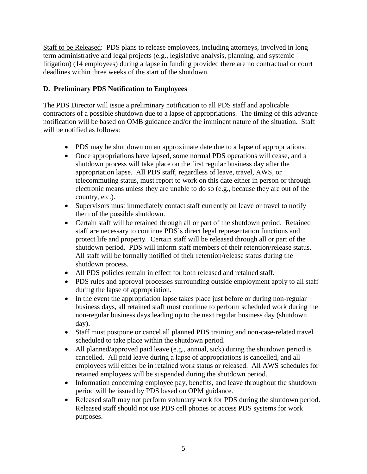Staff to be Released: PDS plans to release employees, including attorneys, involved in long term administrative and legal projects (e.g., legislative analysis, planning, and systemic litigation) (14 employees) during a lapse in funding provided there are no contractual or court deadlines within three weeks of the start of the shutdown.

## **D. Preliminary PDS Notification to Employees**

The PDS Director will issue a preliminary notification to all PDS staff and applicable contractors of a possible shutdown due to a lapse of appropriations. The timing of this advance notification will be based on OMB guidance and/or the imminent nature of the situation. Staff will be notified as follows:

- PDS may be shut down on an approximate date due to a lapse of appropriations.
- Once appropriations have lapsed, some normal PDS operations will cease, and a shutdown process will take place on the first regular business day after the appropriation lapse. All PDS staff, regardless of leave, travel, AWS, or telecommuting status, must report to work on this date either in person or through electronic means unless they are unable to do so (e.g., because they are out of the country, etc.).
- Supervisors must immediately contact staff currently on leave or travel to notify them of the possible shutdown.
- Certain staff will be retained through all or part of the shutdown period. Retained staff are necessary to continue PDS's direct legal representation functions and protect life and property. Certain staff will be released through all or part of the shutdown period. PDS will inform staff members of their retention/release status. All staff will be formally notified of their retention/release status during the shutdown process.
- All PDS policies remain in effect for both released and retained staff.
- PDS rules and approval processes surrounding outside employment apply to all staff during the lapse of appropriation.
- In the event the appropriation lapse takes place just before or during non-regular business days, all retained staff must continue to perform scheduled work during the non-regular business days leading up to the next regular business day (shutdown day).
- Staff must postpone or cancel all planned PDS training and non-case-related travel scheduled to take place within the shutdown period.
- All planned/approved paid leave (e.g., annual, sick) during the shutdown period is cancelled. All paid leave during a lapse of appropriations is cancelled, and all employees will either be in retained work status or released. All AWS schedules for retained employees will be suspended during the shutdown period.
- Information concerning employee pay, benefits, and leave throughout the shutdown period will be issued by PDS based on OPM guidance.
- Released staff may not perform voluntary work for PDS during the shutdown period. Released staff should not use PDS cell phones or access PDS systems for work purposes.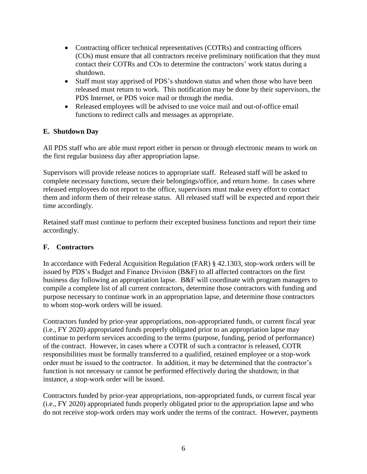- Contracting officer technical representatives (COTRs) and contracting officers (COs) must ensure that all contractors receive preliminary notification that they must contact their COTRs and COs to determine the contractors' work status during a shutdown.
- Staff must stay apprised of PDS's shutdown status and when those who have been released must return to work. This notification may be done by their supervisors, the PDS Internet, or PDS voice mail or through the media.
- Released employees will be advised to use voice mail and out-of-office email functions to redirect calls and messages as appropriate.

## **E. Shutdown Day**

All PDS staff who are able must report either in person or through electronic means to work on the first regular business day after appropriation lapse.

Supervisors will provide release notices to appropriate staff. Released staff will be asked to complete necessary functions, secure their belongings/office, and return home. In cases where released employees do not report to the office, supervisors must make every effort to contact them and inform them of their release status. All released staff will be expected and report their time accordingly.

Retained staff must continue to perform their excepted business functions and report their time accordingly.

## **F. Contractors**

In accordance with Federal Acquisition Regulation (FAR) § 42.1303, stop-work orders will be issued by PDS's Budget and Finance Division (B&F) to all affected contractors on the first business day following an appropriation lapse. B&F will coordinate with program managers to compile a complete list of all current contractors, determine those contractors with funding and purpose necessary to continue work in an appropriation lapse, and determine those contractors to whom stop-work orders will be issued.

Contractors funded by prior-year appropriations, non-appropriated funds, or current fiscal year (i.e., FY 2020) appropriated funds properly obligated prior to an appropriation lapse may continue to perform services according to the terms (purpose, funding, period of performance) of the contract. However, in cases where a COTR of such a contractor is released, COTR responsibilities must be formally transferred to a qualified, retained employee or a stop-work order must be issued to the contractor. In addition, it may be determined that the contractor's function is not necessary or cannot be performed effectively during the shutdown; in that instance, a stop-work order will be issued.

Contractors funded by prior-year appropriations, non-appropriated funds, or current fiscal year (i.e., FY 2020) appropriated funds properly obligated prior to the appropriation lapse and who do not receive stop-work orders may work under the terms of the contract. However, payments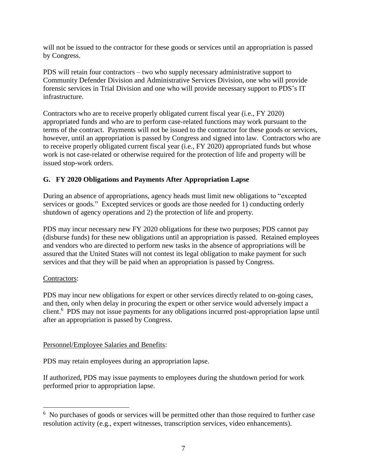will not be issued to the contractor for these goods or services until an appropriation is passed by Congress.

PDS will retain four contractors – two who supply necessary administrative support to Community Defender Division and Administrative Services Division, one who will provide forensic services in Trial Division and one who will provide necessary support to PDS's IT infrastructure.

Contractors who are to receive properly obligated current fiscal year (i.e., FY 2020) appropriated funds and who are to perform case-related functions may work pursuant to the terms of the contract. Payments will not be issued to the contractor for these goods or services, however, until an appropriation is passed by Congress and signed into law. Contractors who are to receive properly obligated current fiscal year (i.e., FY 2020) appropriated funds but whose work is not case-related or otherwise required for the protection of life and property will be issued stop-work orders.

## **G. FY 2020 Obligations and Payments After Appropriation Lapse**

During an absence of appropriations, agency heads must limit new obligations to "excepted services or goods." Excepted services or goods are those needed for 1) conducting orderly shutdown of agency operations and 2) the protection of life and property.

PDS may incur necessary new FY 2020 obligations for these two purposes; PDS cannot pay (disburse funds) for these new obligations until an appropriation is passed. Retained employees and vendors who are directed to perform new tasks in the absence of appropriations will be assured that the United States will not contest its legal obligation to make payment for such services and that they will be paid when an appropriation is passed by Congress.

## Contractors:

 $\overline{a}$ 

PDS may incur new obligations for expert or other services directly related to on-going cases, and then, only when delay in procuring the expert or other service would adversely impact a client. <sup>6</sup> PDS may not issue payments for any obligations incurred post-appropriation lapse until after an appropriation is passed by Congress.

## Personnel/Employee Salaries and Benefits:

PDS may retain employees during an appropriation lapse.

If authorized, PDS may issue payments to employees during the shutdown period for work performed prior to appropriation lapse.

<sup>&</sup>lt;sup>6</sup> No purchases of goods or services will be permitted other than those required to further case resolution activity (e.g., expert witnesses, transcription services, video enhancements).